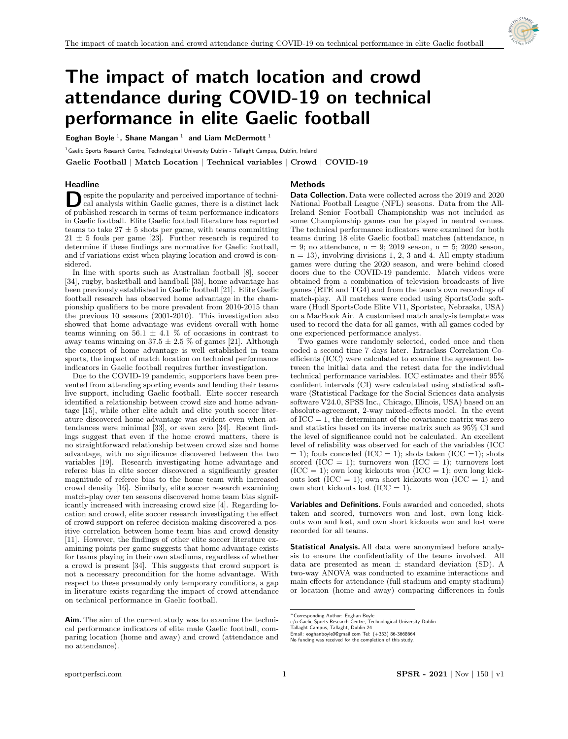

# The impact of match location and crowd attendance during COVID-19 on technical performance in elite Gaelic football

Eoghan Boyle<sup>1</sup>, Shane Mangan<sup>1</sup> and Liam McDermott<sup>1</sup>

<sup>1</sup> Gaelic Sports Research Centre, Technological University Dublin - Tallaght Campus, Dublin, Ireland

Gaelic Football | Match Location | Technical variables | Crowd | COVID-19

## **Headline**

## Methods

 $\begin{tabular}{|l|l|} \hline \textbf{e} & \textbf{e} & \textbf{b} & \textbf{c} & \textbf{c} & \textbf{c} & \textbf{d} \\ \hline \textbf{c} & \textbf{c} & \textbf{d} & \textbf{c} & \textbf{d} & \textbf{c} & \textbf{c} & \textbf{d} \\ \textbf{d} & \textbf{d} & \textbf{d} & \textbf{d} & \textbf{c} & \textbf{c} & \textbf{c} & \textbf{c} & \textbf{c} & \textbf{c} \\ \textbf{d} & \textbf{d} & \textbf{d} & \textbf{d} &$ espite the popularity and perceived importance of technical analysis within Gaelic games, there is a distinct lack in Gaelic football. Elite Gaelic football literature has reported teams to take  $27 \pm 5$  shots per game, with teams committing  $21 \pm 5$  fouls per game [23]. Further research is required to determine if these findings are normative for Gaelic football, and if variations exist when playing location and crowd is considered.

In line with sports such as Australian football [8], soccer [34], rugby, basketball and handball [35], home advantage has been previously established in Gaelic football [21]. Elite Gaelic football research has observed home advantage in the championship qualifiers to be more prevalent from 2010-2015 than the previous 10 seasons (2001-2010). This investigation also showed that home advantage was evident overall with home teams winning on 56.1  $\pm$  4.1 % of occasions in contrast to away teams winning on  $37.5 \pm 2.5$  % of games [21]. Although the concept of home advantage is well established in team sports, the impact of match location on technical performance indicators in Gaelic football requires further investigation.

Due to the COVID-19 pandemic, supporters have been prevented from attending sporting events and lending their teams live support, including Gaelic football. Elite soccer research identified a relationship between crowd size and home advantage [15], while other elite adult and elite youth soccer literature discovered home advantage was evident even when attendances were minimal [33], or even zero [34]. Recent findings suggest that even if the home crowd matters, there is no straightforward relationship between crowd size and home advantage, with no significance discovered between the two variables [19]. Research investigating home advantage and referee bias in elite soccer discovered a significantly greater magnitude of referee bias to the home team with increased crowd density [16]. Similarly, elite soccer research examining match-play over ten seasons discovered home team bias significantly increased with increasing crowd size [4]. Regarding location and crowd, elite soccer research investigating the effect of crowd support on referee decision-making discovered a positive correlation between home team bias and crowd density [11]. However, the findings of other elite soccer literature examining points per game suggests that home advantage exists for teams playing in their own stadiums, regardless of whether a crowd is present [34]. This suggests that crowd support is not a necessary precondition for the home advantage. With respect to these presumably only temporary conditions, a gap in literature exists regarding the impact of crowd attendance on technical performance in Gaelic football.

Data Collection. Data were collected across the 2019 and 2020 National Football League (NFL) seasons. Data from the All-Ireland Senior Football Championship was not included as some Championship games can be played in neutral venues. The technical performance indicators were examined for both teams during 18 elite Gaelic football matches (attendance, n  $= 9$ ; no attendance, n  $= 9$ ; 2019 season, n  $= 5$ ; 2020 season,  $n = 13$ ), involving divisions 1, 2, 3 and 4. All empty stadium games were during the 2020 season, and were behind closed doors due to the COVID-19 pandemic. Match videos were obtained from a combination of television broadcasts of live games (RTE and TG4) and from the team's own recordings of ´ match-play. All matches were coded using SportsCode software (Hudl SportsCode Elite V11, Sportstec, Nebraska, USA) on a MacBook Air. A customised match analysis template was used to record the data for all games, with all games coded by one experienced performance analyst.

Two games were randomly selected, coded once and then coded a second time 7 days later. Intraclass Correlation Coefficients (ICC) were calculated to examine the agreement between the initial data and the retest data for the individual technical performance variables. ICC estimates and their 95% confident intervals (CI) were calculated using statistical software (Statistical Package for the Social Sciences data analysis software V24.0, SPSS Inc., Chicago, Illinois, USA) based on an absolute-agreement, 2-way mixed-effects model. In the event of  $\text{ICC} = 1$ , the determinant of the covariance matrix was zero and statistics based on its inverse matrix such as 95% CI and the level of significance could not be calculated. An excellent level of reliability was observed for each of the variables (ICC  $= 1$ ; fouls conceded (ICC  $= 1$ ); shots taken (ICC  $= 1$ ); shots scored (ICC = 1); turnovers won (ICC = 1); turnovers lost  $(ICC = 1)$ ; own long kickouts won  $(ICC = 1)$ ; own long kickouts lost (ICC = 1); own short kickouts won (ICC = 1) and own short kickouts lost  $(ICC = 1)$ .

Variables and Definitions. Fouls awarded and conceded, shots taken and scored, turnovers won and lost, own long kickouts won and lost, and own short kickouts won and lost were recorded for all teams.

Statistical Analysis. All data were anonymised before analysis to ensure the confidentiality of the teams involved. All data are presented as mean  $\pm$  standard deviation (SD). A two-way ANOVA was conducted to examine interactions and main effects for attendance (full stadium and empty stadium) or location (home and away) comparing differences in fouls

Aim. The aim of the current study was to examine the technical performance indicators of elite male Gaelic football, comparing location (home and away) and crowd (attendance and no attendance).

<sup>∗</sup>Corresponding Author: Eoghan Boyle

c/o Gaelic Sports Research Centre, Technological University Dublin

Tallaght Campus, Tallaght, Dublin 24 Email: eoghanboyle0@gmail.com Tel: (+353) 86-3668664

No funding was received for the completion of this study.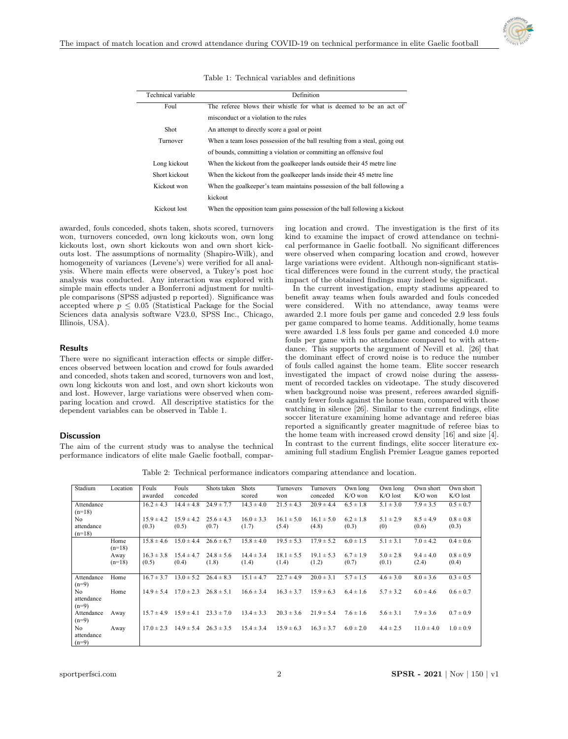

| Technical variable | Definition                                                                 |  |  |  |  |  |  |
|--------------------|----------------------------------------------------------------------------|--|--|--|--|--|--|
| Foul               | The referee blows their whistle for what is deemed to be an act of         |  |  |  |  |  |  |
|                    | misconduct or a violation to the rules                                     |  |  |  |  |  |  |
| Shot               | An attempt to directly score a goal or point                               |  |  |  |  |  |  |
| Turnover           | When a team loses possession of the ball resulting from a steal, going out |  |  |  |  |  |  |
|                    | of bounds, committing a violation or committing an offensive foul          |  |  |  |  |  |  |
| Long kickout       | When the kickout from the goalkeeper lands outside their 45 metre line     |  |  |  |  |  |  |
| Short kickout      | When the kickout from the goalkeeper lands inside their 45 metre line      |  |  |  |  |  |  |
| Kickout won        | When the goalkeeper's team maintains possession of the ball following a    |  |  |  |  |  |  |
|                    | kickout                                                                    |  |  |  |  |  |  |
| Kickout lost       | When the opposition team gains possession of the ball following a kickout  |  |  |  |  |  |  |

Table 1: Technical variables and definitions

awarded, fouls conceded, shots taken, shots scored, turnovers won, turnovers conceded, own long kickouts won, own long kickouts lost, own short kickouts won and own short kickouts lost. The assumptions of normality (Shapiro-Wilk), and homogeneity of variances (Levene's) were verified for all analysis. Where main effects were observed, a Tukey's post hoc analysis was conducted. Any interaction was explored with simple main effects under a Bonferroni adjustment for multiple comparisons (SPSS adjusted p reported). Significance was accepted where  $p \leq 0.05$  (Statistical Package for the Social Sciences data analysis software V23.0, SPSS Inc., Chicago, Illinois, USA).

## Results

There were no significant interaction effects or simple differences observed between location and crowd for fouls awarded and conceded, shots taken and scored, turnovers won and lost, own long kickouts won and lost, and own short kickouts won and lost. However, large variations were observed when comparing location and crowd. All descriptive statistics for the dependent variables can be observed in Table 1.

#### **Discussion**

The aim of the current study was to analyse the technical performance indicators of elite male Gaelic football, comparing location and crowd. The investigation is the first of its kind to examine the impact of crowd attendance on technical performance in Gaelic football. No significant differences were observed when comparing location and crowd, however large variations were evident. Although non-significant statistical differences were found in the current study, the practical impact of the obtained findings may indeed be significant.

In the current investigation, empty stadiums appeared to benefit away teams when fouls awarded and fouls conceded were considered. With no attendance, away teams were awarded 2.1 more fouls per game and conceded 2.9 less fouls per game compared to home teams. Additionally, home teams were awarded 1.8 less fouls per game and conceded 4.0 more fouls per game with no attendance compared to with attendance. This supports the argument of Nevill et al. [26] that the dominant effect of crowd noise is to reduce the number of fouls called against the home team. Elite soccer research investigated the impact of crowd noise during the assessment of recorded tackles on videotape. The study discovered when background noise was present, referees awarded significantly fewer fouls against the home team, compared with those watching in silence [26]. Similar to the current findings, elite soccer literature examining home advantage and referee bias reported a significantly greater magnitude of referee bias to the home team with increased crowd density [16] and size [4]. In contrast to the current findings, elite soccer literature examining full stadium English Premier League games reported

Table 2: Technical performance indicators comparing attendance and location.

| Stadium    | Location | Fouls          | Fouls          | Shots taken    | <b>Shots</b>   | Turnovers      | Turnovers      | Own long      | Own long      | Own short      | Own short     |
|------------|----------|----------------|----------------|----------------|----------------|----------------|----------------|---------------|---------------|----------------|---------------|
|            |          | awarded        | conceded       |                | scored         | won            | conceded       | $K/O$ won     | $K/O$ lost    | $K/O$ won      | $K/O$ lost    |
| Attendance |          | $16.2 \pm 4.3$ | $14.4 \pm 4.8$ | $24.9 \pm 7.7$ | $14.3 \pm 4.0$ | $21.5 \pm 4.3$ | $20.9 \pm 4.4$ | $6.5 \pm 1.8$ | $5.1 \pm 3.0$ | $7.9 \pm 3.5$  | $0.5 \pm 0.7$ |
| $(n=18)$   |          |                |                |                |                |                |                |               |               |                |               |
| No         |          | $15.9 \pm 4.2$ | $15.9 \pm 4.2$ | $25.6 \pm 4.3$ | $16.0 \pm 3.3$ | $16.1 \pm 5.0$ | $16.1 \pm 5.0$ | $6.2 \pm 1.8$ | $5.1 \pm 2.9$ | $8.5 \pm 4.9$  | $0.8 \pm 0.8$ |
| attendance |          | (0.3)          | (0.5)          | (0.7)          | (1.7)          | (5.4)          | (4.8)          | (0.3)         | (0)           | (0.6)          | (0.3)         |
| $(n=18)$   |          |                |                |                |                |                |                |               |               |                |               |
|            | Home     | $15.8 \pm 4.6$ | $15.0 \pm 4.4$ | $26.6 \pm 6.7$ | $15.8 \pm 4.0$ | $19.5 \pm 5.3$ | $17.9 \pm 5.2$ | $6.0 \pm 1.5$ | $5.1 \pm 3.1$ | $7.0 \pm 4.2$  | $0.4 \pm 0.6$ |
|            | $(n=18)$ |                |                |                |                |                |                |               |               |                |               |
|            | Away     | $16.3 \pm 3.8$ | $15.4 \pm 4.7$ | $24.8 \pm 5.6$ | $14.4 \pm 3.4$ | $18.1 \pm 5.5$ | $19.1 \pm 5.3$ | $6.7 \pm 1.9$ | $5.0 \pm 2.8$ | $9.4 \pm 4.0$  | $0.8 \pm 0.9$ |
|            | $(n=18)$ | (0.5)          | (0.4)          | (1.8)          | (1.4)          | (1.4)          | (1.2)          | (0.7)         | (0.1)         | (2.4)          | (0.4)         |
|            |          |                |                |                |                |                |                |               |               |                |               |
| Attendance | Home     | $16.7 \pm 3.7$ | $13.0 \pm 5.2$ | $26.4 \pm 8.3$ | $15.1 \pm 4.7$ | $22.7 \pm 4.9$ | $20.0 \pm 3.1$ | $5.7 \pm 1.5$ | $4.6 \pm 3.0$ | $8.0 \pm 3.6$  | $0.3 \pm 0.5$ |
| $(n=9)$    |          |                |                |                |                |                |                |               |               |                |               |
| No         | Home     | $14.9 \pm 5.4$ | $17.0 \pm 2.3$ | $26.8 \pm 5.1$ | $16.6 \pm 3.4$ | $16.3 \pm 3.7$ | $15.9 \pm 6.3$ | $6.4 \pm 1.6$ | $5.7 \pm 3.2$ | $6.0 \pm 4.6$  | $0.6 \pm 0.7$ |
| attendance |          |                |                |                |                |                |                |               |               |                |               |
| $(n=9)$    |          |                |                |                |                |                |                |               |               |                |               |
| Attendance | Away     | $15.7 \pm 4.9$ | $15.9 \pm 4.1$ | $23.3 \pm 7.0$ | $13.4 \pm 3.3$ | $20.3 \pm 3.6$ | $21.9 \pm 5.4$ | $7.6 \pm 1.6$ | $5.6 \pm 3.1$ | $7.9 \pm 3.6$  | $0.7 \pm 0.9$ |
| $(n=9)$    |          |                |                |                |                |                |                |               |               |                |               |
| No         | Away     | $17.0 \pm 2.3$ | $14.9 \pm 5.4$ | $26.3 \pm 3.5$ | $15.4 \pm 3.4$ | $15.9 \pm 6.3$ | $16.3 \pm 3.7$ | $6.0 \pm 2.0$ | $4.4 \pm 2.5$ | $11.0 \pm 4.0$ | $1.0 \pm 0.9$ |
| attendance |          |                |                |                |                |                |                |               |               |                |               |
| $(n=9)$    |          |                |                |                |                |                |                |               |               |                |               |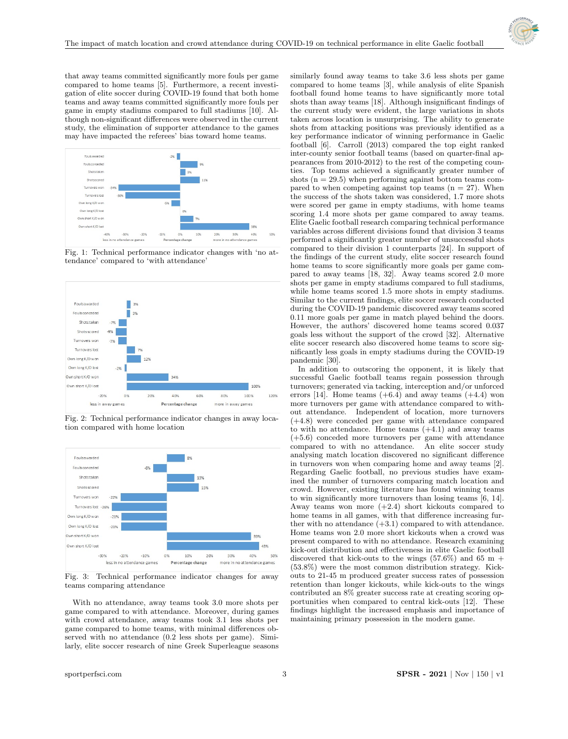

that away teams committed significantly more fouls per game compared to home teams [5]. Furthermore, a recent investigation of elite soccer during COVID-19 found that both home teams and away teams committed significantly more fouls per game in empty stadiums compared to full stadiums [10]. Although non-significant differences were observed in the current study, the elimination of supporter attendance to the games may have impacted the referees' bias toward home teams.



Fig. 1: Technical performance indicator changes with 'no attendance' compared to 'with attendance'



Fig. 2: Technical performance indicator changes in away location compared with home location



Fig. 3: Technical performance indicator changes for away teams comparing attendance

With no attendance, away teams took 3.0 more shots per game compared to with attendance. Moreover, during games with crowd attendance, away teams took 3.1 less shots per game compared to home teams, with minimal differences observed with no attendance (0.2 less shots per game). Similarly, elite soccer research of nine Greek Superleague seasons

similarly found away teams to take 3.6 less shots per game compared to home teams [3], while analysis of elite Spanish football found home teams to have significantly more total shots than away teams [18]. Although insignificant findings of the current study were evident, the large variations in shots taken across location is unsurprising. The ability to generate shots from attacking positions was previously identified as a key performance indicator of winning performance in Gaelic football [6]. Carroll (2013) compared the top eight ranked inter-county senior football teams (based on quarter-final appearances from 2010-2012) to the rest of the competing counties. Top teams achieved a significantly greater number of shots  $(n = 29.5)$  when performing against bottom teams compared to when competing against top teams  $(n = 27)$ . When the success of the shots taken was considered, 1.7 more shots were scored per game in empty stadiums, with home teams scoring 1.4 more shots per game compared to away teams. Elite Gaelic football research comparing technical performance variables across different divisions found that division 3 teams performed a significantly greater number of unsuccessful shots compared to their division 1 counterparts [24]. In support of the findings of the current study, elite soccer research found home teams to score significantly more goals per game compared to away teams [18, 32]. Away teams scored 2.0 more shots per game in empty stadiums compared to full stadiums, while home teams scored 1.5 more shots in empty stadiums. Similar to the current findings, elite soccer research conducted during the COVID-19 pandemic discovered away teams scored 0.11 more goals per game in match played behind the doors. However, the authors' discovered home teams scored 0.037 goals less without the support of the crowd [32]. Alternative elite soccer research also discovered home teams to score significantly less goals in empty stadiums during the COVID-19 pandemic [30].

In addition to outscoring the opponent, it is likely that successful Gaelic football teams regain possession through turnovers; generated via tacking, interception and/or unforced errors [14]. Home teams  $(+6.4)$  and away teams  $(+4.4)$  won more turnovers per game with attendance compared to without attendance. Independent of location, more turnovers (+4.8) were conceded per game with attendance compared to with no attendance. Home teams  $(+4.1)$  and away teams (+5.6) conceded more turnovers per game with attendance compared to with no attendance. An elite soccer study analysing match location discovered no significant difference in turnovers won when comparing home and away teams [2]. Regarding Gaelic football, no previous studies have examined the number of turnovers comparing match location and crowd. However, existing literature has found winning teams to win significantly more turnovers than losing teams [6, 14]. Away teams won more  $(+2.4)$  short kickouts compared to home teams in all games, with that difference increasing further with no attendance  $(+3.1)$  compared to with attendance. Home teams won 2.0 more short kickouts when a crowd was present compared to with no attendance. Research examining kick-out distribution and effectiveness in elite Gaelic football discovered that kick-outs to the wings  $(57.6\%)$  and  $65 \text{ m}$  + (53.8%) were the most common distribution strategy. Kickouts to 21-45 m produced greater success rates of possession retention than longer kickouts, while kick-outs to the wings contributed an 8% greater success rate at creating scoring opportunities when compared to central kick-outs [12]. These findings highlight the increased emphasis and importance of maintaining primary possession in the modern game.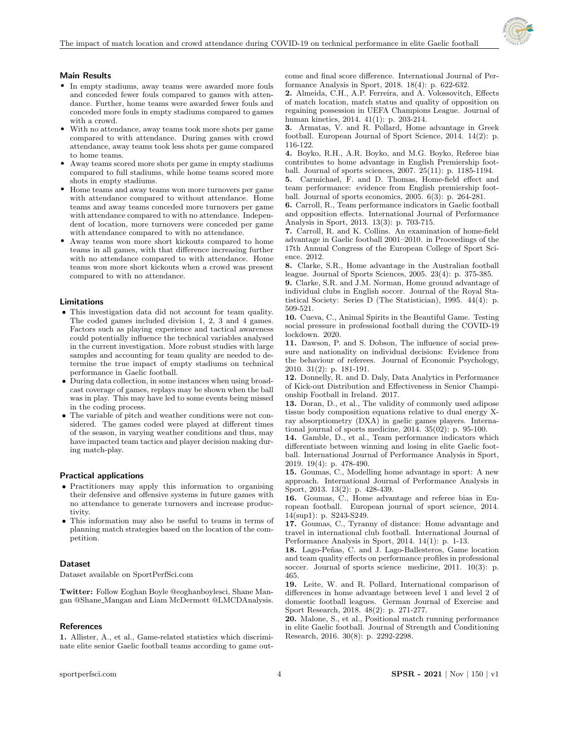

## Main Results

- In empty stadiums, away teams were awarded more fouls and conceded fewer fouls compared to games with attendance. Further, home teams were awarded fewer fouls and conceded more fouls in empty stadiums compared to games with a crowd.
- With no attendance, away teams took more shots per game compared to with attendance. During games with crowd attendance, away teams took less shots per game compared to home teams.
- Away teams scored more shots per game in empty stadiums compared to full stadiums, while home teams scored more shots in empty stadiums.
- Home teams and away teams won more turnovers per game with attendance compared to without attendance. Home teams and away teams conceded more turnovers per game with attendance compared to with no attendance. Independent of location, more turnovers were conceded per game with attendance compared to with no attendance.
- Away teams won more short kickouts compared to home teams in all games, with that difference increasing further with no attendance compared to with attendance. Home teams won more short kickouts when a crowd was present compared to with no attendance.

#### Limitations

- This investigation data did not account for team quality. The coded games included division 1, 2, 3 and 4 games. Factors such as playing experience and tactical awareness could potentially influence the technical variables analysed in the current investigation. More robust studies with large samples and accounting for team quality are needed to determine the true impact of empty stadiums on technical performance in Gaelic football.
- During data collection, in some instances when using broadcast coverage of games, replays may be shown when the ball was in play. This may have led to some events being missed in the coding process.
- The variable of pitch and weather conditions were not considered. The games coded were played at different times of the season, in varying weather conditions and thus, may have impacted team tactics and player decision making during match-play.

#### Practical applications

- Practitioners may apply this information to organising their defensive and offensive systems in future games with no attendance to generate turnovers and increase productivity.
- This information may also be useful to teams in terms of planning match strategies based on the location of the competition.

#### Dataset

Dataset available on [SportPerfSci.com](https://sportperfsci.com/)

Twitter: Follow Eoghan Boyle @eoghanboylesci, Shane Mangan @Shane Mangan and Liam McDermott @LMCDAnalysis.

#### References

1. Allister, A., et al., Game-related statistics which discriminate elite senior Gaelic football teams according to game outcome and final score difference. International Journal of Performance Analysis in Sport, 2018. 18(4): p. 622-632.

2. Almeida, C.H., A.P. Ferreira, and A. Volossovitch, Effects of match location, match status and quality of opposition on regaining possession in UEFA Champions League. Journal of human kinetics, 2014. 41(1): p. 203-214.

3. Armatas, V. and R. Pollard, Home advantage in Greek football. European Journal of Sport Science, 2014. 14(2): p. 116-122.

4. Boyko, R.H., A.R. Boyko, and M.G. Boyko, Referee bias contributes to home advantage in English Premiership football. Journal of sports sciences, 2007. 25(11): p. 1185-1194.

5. Carmichael, F. and D. Thomas, Home-field effect and team performance: evidence from English premiership football. Journal of sports economics, 2005. 6(3): p. 264-281.

6. Carroll, R., Team performance indicators in Gaelic football and opposition effects. International Journal of Performance Analysis in Sport, 2013. 13(3): p. 703-715.

7. Carroll, R. and K. Collins. An examination of home-field advantage in Gaelic football 2001–2010. in Proceedings of the 17th Annual Congress of the European College of Sport Science. 2012.

8. Clarke, S.R., Home advantage in the Australian football league. Journal of Sports Sciences, 2005. 23(4): p. 375-385.

9. Clarke, S.R. and J.M. Norman, Home ground advantage of individual clubs in English soccer. Journal of the Royal Statistical Society: Series D (The Statistician), 1995. 44(4): p. 509-521.

10. Cueva, C., Animal Spirits in the Beautiful Game. Testing social pressure in professional football during the COVID-19 lockdown. 2020.

11. Dawson, P. and S. Dobson, The influence of social pressure and nationality on individual decisions: Evidence from the behaviour of referees. Journal of Economic Psychology, 2010. 31(2): p. 181-191.

12. Donnelly, R. and D. Daly, Data Analytics in Performance of Kick-out Distribution and Effectiveness in Senior Championship Football in Ireland. 2017.

13. Doran, D., et al., The validity of commonly used adipose tissue body composition equations relative to dual energy Xray absorptiometry (DXA) in gaelic games players. International journal of sports medicine, 2014. 35(02): p. 95-100.

14. Gamble, D., et al., Team performance indicators which differentiate between winning and losing in elite Gaelic football. International Journal of Performance Analysis in Sport, 2019. 19(4): p. 478-490.

15. Goumas, C., Modelling home advantage in sport: A new approach. International Journal of Performance Analysis in Sport, 2013. 13(2): p. 428-439.

16. Goumas, C., Home advantage and referee bias in European football. European journal of sport science, 2014. 14(sup1): p. S243-S249.

17. Goumas, C., Tyranny of distance: Home advantage and travel in international club football. International Journal of Performance Analysis in Sport, 2014. 14(1): p. 1-13.

18. Lago-Peñas, C. and J. Lago-Ballesteros, Game location and team quality effects on performance profiles in professional soccer. Journal of sports science medicine, 2011. 10(3): p. 465.

19. Leite, W. and R. Pollard, International comparison of differences in home advantage between level 1 and level 2 of domestic football leagues. German Journal of Exercise and Sport Research, 2018. 48(2): p. 271-277.

20. Malone, S., et al., Positional match running performance in elite Gaelic football. Journal of Strength and Conditioning Research, 2016. 30(8): p. 2292-2298.